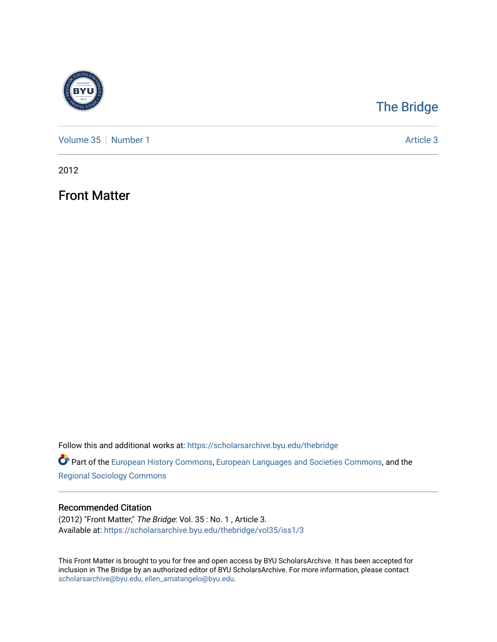

## [The Bridge](https://scholarsarchive.byu.edu/thebridge)

[Volume 35](https://scholarsarchive.byu.edu/thebridge/vol35) [Number 1](https://scholarsarchive.byu.edu/thebridge/vol35/iss1) Article 3

2012

Front Matter

Follow this and additional works at: [https://scholarsarchive.byu.edu/thebridge](https://scholarsarchive.byu.edu/thebridge?utm_source=scholarsarchive.byu.edu%2Fthebridge%2Fvol35%2Fiss1%2F3&utm_medium=PDF&utm_campaign=PDFCoverPages) 

**Part of the [European History Commons](http://network.bepress.com/hgg/discipline/492?utm_source=scholarsarchive.byu.edu%2Fthebridge%2Fvol35%2Fiss1%2F3&utm_medium=PDF&utm_campaign=PDFCoverPages), [European Languages and Societies Commons,](http://network.bepress.com/hgg/discipline/482?utm_source=scholarsarchive.byu.edu%2Fthebridge%2Fvol35%2Fiss1%2F3&utm_medium=PDF&utm_campaign=PDFCoverPages) and the** [Regional Sociology Commons](http://network.bepress.com/hgg/discipline/427?utm_source=scholarsarchive.byu.edu%2Fthebridge%2Fvol35%2Fiss1%2F3&utm_medium=PDF&utm_campaign=PDFCoverPages) 

## Recommended Citation

(2012) "Front Matter," The Bridge: Vol. 35 : No. 1 , Article 3. Available at: [https://scholarsarchive.byu.edu/thebridge/vol35/iss1/3](https://scholarsarchive.byu.edu/thebridge/vol35/iss1/3?utm_source=scholarsarchive.byu.edu%2Fthebridge%2Fvol35%2Fiss1%2F3&utm_medium=PDF&utm_campaign=PDFCoverPages) 

This Front Matter is brought to you for free and open access by BYU ScholarsArchive. It has been accepted for inclusion in The Bridge by an authorized editor of BYU ScholarsArchive. For more information, please contact [scholarsarchive@byu.edu, ellen\\_amatangelo@byu.edu](mailto:scholarsarchive@byu.edu,%20ellen_amatangelo@byu.edu).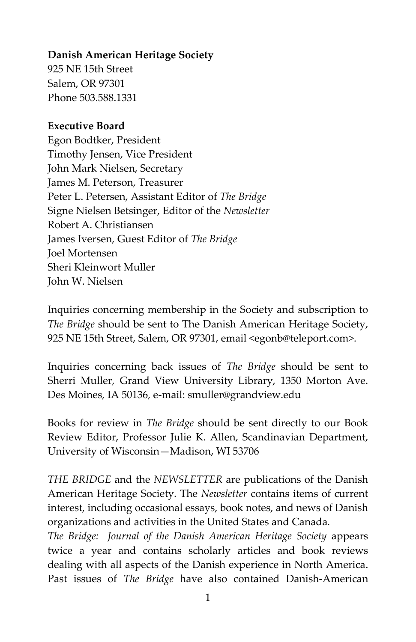## **Danish American Heritage Society**

925 NE 15th Street Salem, OR 97301 Phone 503.588.1331

## **Executive Board**

Egon Bodtker, President Timothy Jensen, Vice President John Mark Nielsen, Secretary James M. Peterson, Treasurer Peter L. Petersen, Assistant Editor of *The Bridge* Signe Nielsen Betsinger, Editor of the *Newsletter* Robert A. Christiansen James Iversen, Guest Editor of *The Bridge* Joel Mortensen Sheri Kleinwort Muller John W. Nielsen

Inquiries concerning membership in the Society and subscription to *The Bridge* should be sent to The Danish American Heritage Society, 925 NE 15th Street, Salem, OR 97301, email <egonb@teleport.com>.

Inquiries concerning back issues of *The Bridge* should be sent to Sherri Muller, Grand View University Library, 1350 Morton Ave. Des Moines, IA 50136, e-mail: smuller@grandview.edu

Books for review in *The Bridge* should be sent directly to our Book Review Editor, Professor Julie K. Allen, Scandinavian Department, University of Wisconsin—Madison, WI 53706

*THE BRIDGE* and the *NEWSLETTER* are publications of the Danish American Heritage Society. The *Newsletter* contains items of current interest, including occasional essays, book notes, and news of Danish organizations and activities in the United States and Canada*.* 

*The Bridge: Journal of the Danish American Heritage Society* appears twice a year and contains scholarly articles and book reviews dealing with all aspects of the Danish experience in North America. Past issues of *The Bridge* have also contained Danish-American